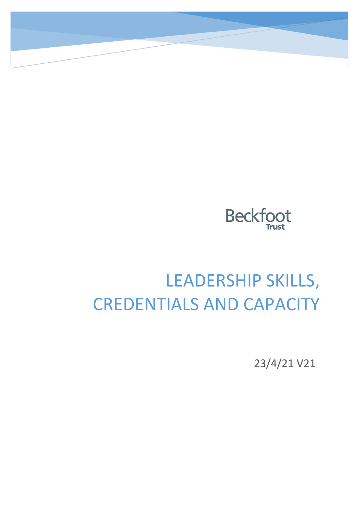

# LEADERSHIP SKILLS, CREDENTIALS AND CAPACITY

23/4/21 V21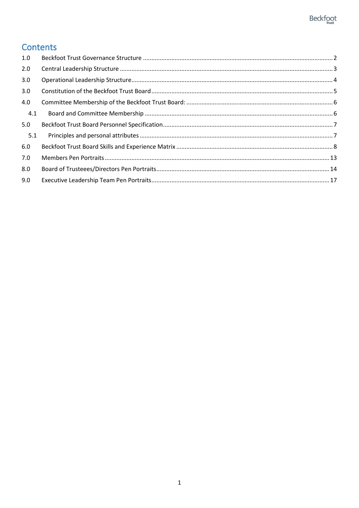### Contents

| 1.0 |  |
|-----|--|
| 2.0 |  |
| 3.0 |  |
| 3.0 |  |
| 4.0 |  |
| 4.1 |  |
| 5.0 |  |
| 5.1 |  |
| 6.0 |  |
| 7.0 |  |
| 8.0 |  |
| 9.0 |  |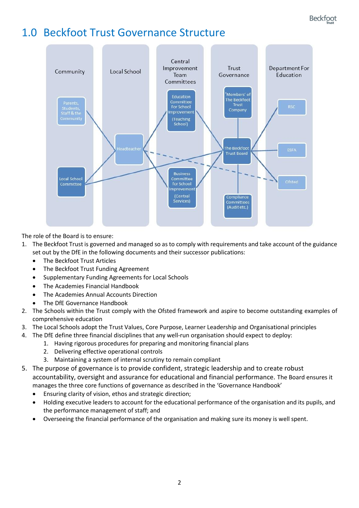### <span id="page-2-0"></span>1.0 Beckfoot Trust Governance Structure



The role of the Board is to ensure:

- 1. The Beckfoot Trust is governed and managed so as to comply with requirements and take account of the guidance set out by the DfE in the following documents and their successor publications:
	- The Beckfoot Trust Articles
	- The Beckfoot Trust Funding Agreement
	- Supplementary Funding Agreements for Local Schools
	- The Academies Financial Handbook
	- The Academies Annual Accounts Direction
	- The DfE Governance Handbook
- 2. The Schools within the Trust comply with the Ofsted framework and aspire to become outstanding examples of comprehensive education
- 3. The Local Schools adopt the Trust Values, Core Purpose, Learner Leadership and Organisational principles
- 4. The DfE define three financial disciplines that any well-run organisation should expect to deploy:
	- 1. Having rigorous procedures for preparing and monitoring financial plans
	- 2. Delivering effective operational controls
	- 3. Maintaining a system of internal scrutiny to remain compliant
- 5. The purpose of governance is to provide confident, strategic leadership and to create robust accountability, oversight and assurance for educational and financial performance. The Board ensures it manages the three core functions of governance as described in the 'Governance Handbook'
	- Ensuring clarity of vision, ethos and strategic direction;
	- Holding executive leaders to account for the educational performance of the organisation and its pupils, and the performance management of staff; and
	- Overseeing the financial performance of the organisation and making sure its money is well spent.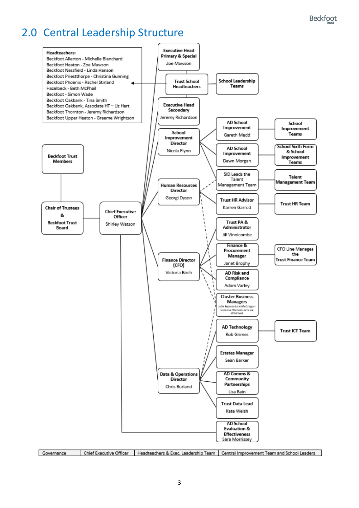### <span id="page-3-0"></span>2.0 Central Leadership Structure

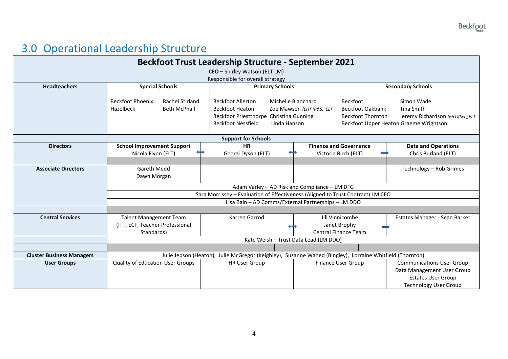## 3.0 Operational Leadership Structure

<span id="page-4-0"></span>

|                                  |                                                                                       | <b>Beckfoot Trust Leadership Structure - September 2021</b>                                                                                |                                                  |                                                                        |                                                                                                         |  |  |  |  |  |  |  |  |  |
|----------------------------------|---------------------------------------------------------------------------------------|--------------------------------------------------------------------------------------------------------------------------------------------|--------------------------------------------------|------------------------------------------------------------------------|---------------------------------------------------------------------------------------------------------|--|--|--|--|--|--|--|--|--|
|                                  |                                                                                       | CEO - Shirley Watson (ELT LM)                                                                                                              |                                                  |                                                                        |                                                                                                         |  |  |  |  |  |  |  |  |  |
|                                  |                                                                                       | Responsible for overall strategy                                                                                                           |                                                  |                                                                        |                                                                                                         |  |  |  |  |  |  |  |  |  |
| <b>Headteachers</b>              | <b>Special Schools</b>                                                                | <b>Primary Schools</b>                                                                                                                     |                                                  | <b>Secondary Schools</b>                                               |                                                                                                         |  |  |  |  |  |  |  |  |  |
|                                  | <b>Beckfoot Phoenix</b><br><b>Rachel Stirland</b><br>Hazelbeck<br><b>Beth McPhail</b> | <b>Beckfoot Allerton</b><br><b>Beckfoot Heaton</b><br>Beckfoot Priestthorpe Christina Gunning<br><b>Beckfoot Nessfield</b><br>Linda Hanson | Michelle Blanchard<br>Zoe Mawson (EHT (P&S), ELT | <b>Beckfoot</b><br><b>Beckfoot Oakbank</b><br><b>Beckfoot Thornton</b> | Simon Wade<br>Tina Smith<br>Jeremy Richardson (EHT)(Sec), ELT<br>Beckfoot Upper Heaton Graeme Wrightson |  |  |  |  |  |  |  |  |  |
| <b>Support for Schools</b>       |                                                                                       |                                                                                                                                            |                                                  |                                                                        |                                                                                                         |  |  |  |  |  |  |  |  |  |
| <b>Directors</b>                 | <b>School Improvement Support</b>                                                     | <b>HR</b>                                                                                                                                  |                                                  | <b>Finance and Governance</b>                                          | <b>Data and Operations</b>                                                                              |  |  |  |  |  |  |  |  |  |
|                                  | Nicola Flynn (ELT)                                                                    | Georgi Dyson (ELT)                                                                                                                         |                                                  | Victoria Birch (ELT)                                                   | Chris Burland (ELT)                                                                                     |  |  |  |  |  |  |  |  |  |
|                                  |                                                                                       |                                                                                                                                            |                                                  |                                                                        |                                                                                                         |  |  |  |  |  |  |  |  |  |
| <b>Associate Directors</b>       | Gareth Medd                                                                           |                                                                                                                                            |                                                  |                                                                        | Technology - Rob Grimes                                                                                 |  |  |  |  |  |  |  |  |  |
|                                  | Dawn Morgan                                                                           |                                                                                                                                            |                                                  |                                                                        |                                                                                                         |  |  |  |  |  |  |  |  |  |
|                                  |                                                                                       |                                                                                                                                            |                                                  |                                                                        |                                                                                                         |  |  |  |  |  |  |  |  |  |
|                                  |                                                                                       | Adam Varley - AD Risk and Compliance - LM DFG<br>Sara Morrissey - Evaluation of Effectiveness (Aligned to Trust Contract) LM CEO           |                                                  |                                                                        |                                                                                                         |  |  |  |  |  |  |  |  |  |
|                                  |                                                                                       | Lisa Bain - AD Comms/External Partnerships - LM DDO                                                                                        |                                                  |                                                                        |                                                                                                         |  |  |  |  |  |  |  |  |  |
|                                  |                                                                                       |                                                                                                                                            |                                                  |                                                                        |                                                                                                         |  |  |  |  |  |  |  |  |  |
| <b>Central Services</b>          | <b>Talent Management Team</b>                                                         | Karren Garrod                                                                                                                              |                                                  | Jill Vinnicombe                                                        | Estates Manager - Sean Barker                                                                           |  |  |  |  |  |  |  |  |  |
|                                  | (ITT, ECF, Teacher Professional                                                       |                                                                                                                                            |                                                  | Janet Brophy                                                           |                                                                                                         |  |  |  |  |  |  |  |  |  |
|                                  | Standards)                                                                            |                                                                                                                                            |                                                  | Central Finance Team                                                   |                                                                                                         |  |  |  |  |  |  |  |  |  |
|                                  |                                                                                       | Kate Welsh - Trust Data Lead (LM DDO)                                                                                                      |                                                  |                                                                        |                                                                                                         |  |  |  |  |  |  |  |  |  |
|                                  |                                                                                       |                                                                                                                                            |                                                  |                                                                        |                                                                                                         |  |  |  |  |  |  |  |  |  |
| <b>Cluster Business Managers</b> |                                                                                       | Julie Jepson (Heaton), Julie McGregor (Keighley), Suzanne Wahed (Bingley), Lorraine Whitfield (Thornton)                                   |                                                  |                                                                        |                                                                                                         |  |  |  |  |  |  |  |  |  |
| <b>User Groups</b>               | <b>Quality of Education User Groups</b>                                               | <b>HR User Group</b>                                                                                                                       |                                                  | <b>Finance User Group</b>                                              | <b>Communications User Group</b>                                                                        |  |  |  |  |  |  |  |  |  |
|                                  |                                                                                       |                                                                                                                                            |                                                  |                                                                        | Data Management User Group                                                                              |  |  |  |  |  |  |  |  |  |
|                                  |                                                                                       |                                                                                                                                            |                                                  |                                                                        | <b>Estates User Group</b>                                                                               |  |  |  |  |  |  |  |  |  |
|                                  |                                                                                       |                                                                                                                                            |                                                  |                                                                        | <b>Technology User Group</b>                                                                            |  |  |  |  |  |  |  |  |  |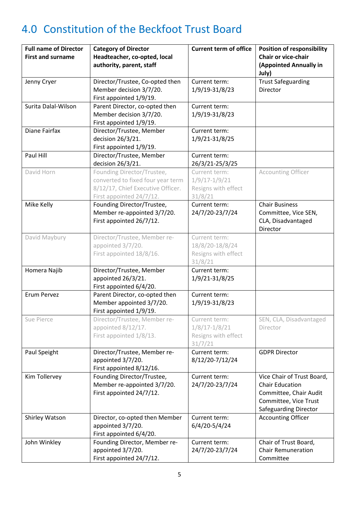## <span id="page-5-0"></span>4.0 Constitution of the Beckfoot Trust Board

| <b>Full name of Director</b><br><b>First and surname</b> | <b>Category of Director</b><br>Headteacher, co-opted, local<br>authority, parent, staff                                          | <b>Current term of office</b>                                        | <b>Position of responsibility</b><br><b>Chair or vice-chair</b><br>(Appointed Annually in<br>July)                               |
|----------------------------------------------------------|----------------------------------------------------------------------------------------------------------------------------------|----------------------------------------------------------------------|----------------------------------------------------------------------------------------------------------------------------------|
| Jenny Cryer                                              | Director/Trustee, Co-opted then<br>Member decision 3/7/20.<br>First appointed 1/9/19.                                            | Current term:<br>1/9/19-31/8/23                                      | <b>Trust Safeguarding</b><br>Director                                                                                            |
| Surita Dalal-Wilson                                      | Parent Director, co-opted then<br>Member decision 3/7/20.<br>First appointed 1/9/19.                                             | Current term:<br>1/9/19-31/8/23                                      |                                                                                                                                  |
| Diane Fairfax                                            | Director/Trustee, Member<br>decision 26/3/21.<br>First appointed 1/9/19.                                                         | Current term:<br>1/9/21-31/8/25                                      |                                                                                                                                  |
| Paul Hill                                                | Director/Trustee, Member<br>decision 26/3/21.                                                                                    | Current term:<br>26/3/21-25/3/25                                     |                                                                                                                                  |
| David Horn                                               | Founding Director/Trustee,<br>converted to fixed four year term<br>8/12/17, Chief Executive Officer.<br>First appointed 24/7/12. | Current term:<br>$1/9/17 - 1/9/21$<br>Resigns with effect<br>31/8/21 | <b>Accounting Officer</b>                                                                                                        |
| Mike Kelly                                               | Founding Director/Trustee,<br>Member re-appointed 3/7/20.<br>First appointed 26/7/12.                                            | Current term:<br>24/7/20-23/7/24                                     | <b>Chair Business</b><br>Committee, Vice SEN,<br>CLA, Disadvantaged<br>Director                                                  |
| David Maybury                                            | Director/Trustee, Member re-<br>appointed 3/7/20.<br>First appointed 18/8/16.                                                    | Current term:<br>18/8/20-18/8/24<br>Resigns with effect<br>31/8/21   |                                                                                                                                  |
| Homera Najib                                             | Director/Trustee, Member<br>appointed 26/3/21.<br>First appointed 6/4/20.                                                        | Current term:<br>1/9/21-31/8/25                                      |                                                                                                                                  |
| Erum Pervez                                              | Parent Director, co-opted then<br>Member appointed 3/7/20.<br>First appointed 1/9/19.                                            | Current term:<br>1/9/19-31/8/23                                      |                                                                                                                                  |
| Sue Pierce                                               | Director/Trustee, Member re-<br>appointed 8/12/17.<br>First appointed 1/8/13.                                                    | Current term:<br>$1/8/17 - 1/8/21$<br>Resigns with effect<br>31/7/21 | SEN, CLA, Disadvantaged<br>Director                                                                                              |
| Paul Speight                                             | Director/Trustee, Member re-<br>appointed 3/7/20.<br>First appointed 8/12/16.                                                    | Current term:<br>8/12/20-7/12/24                                     | <b>GDPR Director</b>                                                                                                             |
| Kim Tollervey                                            | Founding Director/Trustee,<br>Member re-appointed 3/7/20.<br>First appointed 24/7/12.                                            | Current term:<br>24/7/20-23/7/24                                     | Vice Chair of Trust Board,<br><b>Chair Education</b><br>Committee, Chair Audit<br>Committee, Vice Trust<br>Safeguarding Director |
| Shirley Watson                                           | Director, co-opted then Member<br>appointed 3/7/20.<br>First appointed 6/4/20.                                                   | Current term:<br>6/4/20-5/4/24                                       | <b>Accounting Officer</b>                                                                                                        |
| John Winkley                                             | Founding Director, Member re-<br>appointed 3/7/20.<br>First appointed 24/7/12.                                                   | Current term:<br>24/7/20-23/7/24                                     | Chair of Trust Board,<br><b>Chair Remuneration</b><br>Committee                                                                  |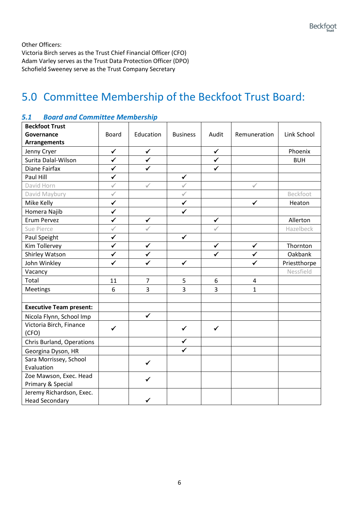Other Officers:

Victoria Birch serves as the Trust Chief Financial Officer (CFO) Adam Varley serves as the Trust Data Protection Officer (DPO) Schofield Sweeney serve as the Trust Company Secretary

### <span id="page-6-0"></span>5.0 Committee Membership of the Beckfoot Trust Board:

| <b>Beckfoot Trust</b>                             |              |                |                 |              |                |              |  |  |
|---------------------------------------------------|--------------|----------------|-----------------|--------------|----------------|--------------|--|--|
| Governance                                        | <b>Board</b> | Education      | <b>Business</b> | Audit        | Remuneration   | Link School  |  |  |
| <b>Arrangements</b>                               |              |                |                 |              |                |              |  |  |
| Jenny Cryer                                       | $\checkmark$ | $\checkmark$   |                 | $\checkmark$ |                | Phoenix      |  |  |
| Surita Dalal-Wilson                               | $\checkmark$ | $\checkmark$   |                 | $\checkmark$ |                | <b>BUH</b>   |  |  |
| Diane Fairfax                                     | $\checkmark$ | $\checkmark$   |                 | $\checkmark$ |                |              |  |  |
| Paul Hill                                         | $\checkmark$ |                | $\checkmark$    |              |                |              |  |  |
| David Horn                                        | $\checkmark$ | $\checkmark$   | √               |              | $\checkmark$   |              |  |  |
| David Maybury                                     | $\checkmark$ |                | $\checkmark$    |              |                | Beckfoot     |  |  |
| Mike Kelly                                        | $\checkmark$ |                | ✓               |              | ✓              | Heaton       |  |  |
| Homera Najib                                      | $\checkmark$ |                | ✔               |              |                |              |  |  |
| Erum Pervez                                       | $\checkmark$ | $\checkmark$   |                 | $\checkmark$ |                | Allerton     |  |  |
| Sue Pierce                                        | $\checkmark$ |                |                 |              |                | Hazelbeck    |  |  |
| Paul Speight                                      | $\checkmark$ |                | $\checkmark$    |              |                |              |  |  |
| Kim Tollervey                                     | $\checkmark$ | $\checkmark$   |                 | $\checkmark$ | $\checkmark$   | Thornton     |  |  |
| Shirley Watson                                    | $\checkmark$ | $\checkmark$   |                 | $\checkmark$ | $\checkmark$   | Oakbank      |  |  |
| John Winkley                                      | $\checkmark$ | ✓              | ✔               |              | ✓              | Priestthorpe |  |  |
| Vacancy                                           |              |                |                 |              |                | Nessfield    |  |  |
| Total                                             | 11           | $\overline{7}$ | 5               | 6            | $\overline{4}$ |              |  |  |
| Meetings                                          | 6            | 3              | 3               | 3            | 1              |              |  |  |
|                                                   |              |                |                 |              |                |              |  |  |
| <b>Executive Team present:</b>                    |              |                |                 |              |                |              |  |  |
| Nicola Flynn, School Imp                          |              | $\checkmark$   |                 |              |                |              |  |  |
| Victoria Birch, Finance<br>(CFO)                  | ✓            |                | $\checkmark$    | $\checkmark$ |                |              |  |  |
| Chris Burland, Operations                         |              |                | $\checkmark$    |              |                |              |  |  |
| Georgina Dyson, HR                                |              |                | $\checkmark$    |              |                |              |  |  |
| Sara Morrissey, School<br>Evaluation              |              | $\checkmark$   |                 |              |                |              |  |  |
| Zoe Mawson, Exec. Head<br>Primary & Special       |              | $\checkmark$   |                 |              |                |              |  |  |
| Jeremy Richardson, Exec.<br><b>Head Secondary</b> |              |                |                 |              |                |              |  |  |

#### <span id="page-6-1"></span>*5.1 Board and Committee Membership*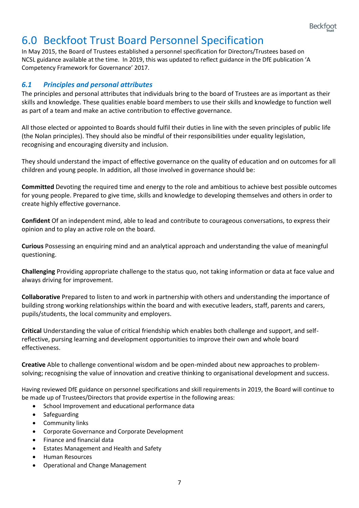### <span id="page-7-0"></span>6.0 Beckfoot Trust Board Personnel Specification

In May 2015, the Board of Trustees established a personnel specification for Directors/Trustees based on NCSL guidance available at the time. In 2019, this was updated to reflect guidance in the DfE publication 'A Competency Framework for Governance' 2017.

### <span id="page-7-1"></span>*6.1 Principles and personal attributes*

The principles and personal attributes that individuals bring to the board of Trustees are as important as their skills and knowledge. These qualities enable board members to use their skills and knowledge to function well as part of a team and make an active contribution to effective governance.

All those elected or appointed to Boards should fulfil their duties in line with the seven principles of public life (the Nolan principles). They should also be mindful of their responsibilities under equality legislation, recognising and encouraging diversity and inclusion.

They should understand the impact of effective governance on the quality of education and on outcomes for all children and young people. In addition, all those involved in governance should be:

**Committed** Devoting the required time and energy to the role and ambitious to achieve best possible outcomes for young people. Prepared to give time, skills and knowledge to developing themselves and others in order to create highly effective governance.

**Confident** Of an independent mind, able to lead and contribute to courageous conversations, to express their opinion and to play an active role on the board.

**Curious** Possessing an enquiring mind and an analytical approach and understanding the value of meaningful questioning.

**Challenging** Providing appropriate challenge to the status quo, not taking information or data at face value and always driving for improvement.

**Collaborative** Prepared to listen to and work in partnership with others and understanding the importance of building strong working relationships within the board and with executive leaders, staff, parents and carers, pupils/students, the local community and employers.

**Critical** Understanding the value of critical friendship which enables both challenge and support, and selfreflective, pursing learning and development opportunities to improve their own and whole board effectiveness.

**Creative** Able to challenge conventional wisdom and be open-minded about new approaches to problemsolving; recognising the value of innovation and creative thinking to organisational development and success.

Having reviewed DfE guidance on personnel specifications and skill requirements in 2019, the Board will continue to be made up of Trustees/Directors that provide expertise in the following areas:

- School Improvement and educational performance data
- Safeguarding
- Community links
- Corporate Governance and Corporate Development
- Finance and financial data
- Estates Management and Health and Safety
- Human Resources
- Operational and Change Management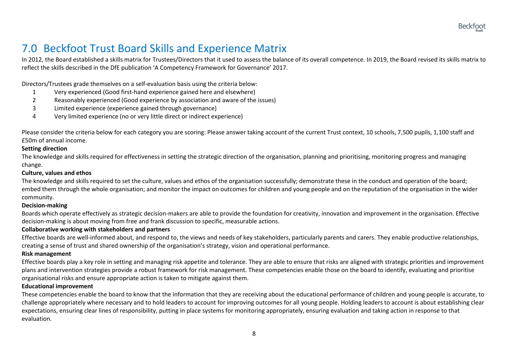### 7.0 Beckfoot Trust Board Skills and Experience Matrix

In 2012, the Board established a skills matrix for Trustees/Directors that it used to assess the balance of its overall competence. In 2019, the Board revised its skills matrix to reflect the skills described in the DfE publication 'A Competency Framework for Governance' 2017.

Directors/Trustees grade themselves on a self-evaluation basis using the criteria below:

- 1 Very experienced (Good first-hand experience gained here and elsewhere)
- 2 Reasonably experienced (Good experience by association and aware of the issues)
- 3 Limited experience (experience gained through governance)
- 4 Very limited experience (no or very little direct or indirect experience)

Please consider the criteria below for each category you are scoring: Please answer taking account of the current Trust context, 10 schools, 7,500 pupils, 1,100 staff and £50m of annual income.

#### **Setting direction**

The knowledge and skills required for effectiveness in setting the strategic direction of the organisation, planning and prioritising, monitoring progress and managing change.

#### **Culture, values and ethos**

<span id="page-8-0"></span>The knowledge and skills required to set the culture, values and ethos of the organisation successfully; demonstrate these in the conduct and operation of the board; embed them through the whole organisation; and monitor the impact on outcomes for children and young people and on the reputation of the organisation in the wider community.

#### **Decision-making**

Boards which operate effectively as strategic decision-makers are able to provide the foundation for creativity, innovation and improvement in the organisation. Effective decision-making is about moving from free and frank discussion to specific, measurable actions.

#### **Collaborative working with stakeholders and partners**

Effective boards are well-informed about, and respond to, the views and needs of key stakeholders, particularly parents and carers. They enable productive relationships, creating a sense of trust and shared ownership of the organisation's strategy, vision and operational performance.

#### **Risk management**

Effective boards play a key role in setting and managing risk appetite and tolerance. They are able to ensure that risks are aligned with strategic priorities and improvement plans and intervention strategies provide a robust framework for risk management. These competencies enable those on the board to identify, evaluating and prioritise organisational risks and ensure appropriate action is taken to mitigate against them.

#### **Educational improvement**

These competencies enable the board to know that the information that they are receiving about the educational performance of children and young people is accurate, to challenge appropriately where necessary and to hold leaders to account for improving outcomes for all young people. Holding leaders to account is about establishing clear expectations, ensuring clear lines of responsibility, putting in place systems for monitoring appropriately, ensuring evaluation and taking action in response to that evaluation.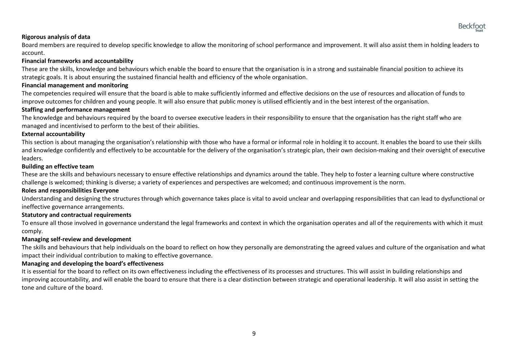#### **Rigorous analysis of data**

Board members are required to develop specific knowledge to allow the monitoring of school performance and improvement. It will also assist them in holding leaders to account.

#### **Financial frameworks and accountability**

These are the skills, knowledge and behaviours which enable the board to ensure that the organisation is in a strong and sustainable financial position to achieve its strategic goals. It is about ensuring the sustained financial health and efficiency of the whole organisation.

#### **Financial management and monitoring**

The competencies required will ensure that the board is able to make sufficiently informed and effective decisions on the use of resources and allocation of funds to improve outcomes for children and young people. It will also ensure that public money is utilised efficiently and in the best interest of the organisation.

#### **Staffing and performance management**

The knowledge and behaviours required by the board to oversee executive leaders in their responsibility to ensure that the organisation has the right staff who are managed and incentivised to perform to the best of their abilities.

#### **External accountability**

This section is about managing the organisation's relationship with those who have a formal or informal role in holding it to account. It enables the board to use their skills and knowledge confidently and effectively to be accountable for the delivery of the organisation's strategic plan, their own decision-making and their oversight of executive leaders.

#### **Building an effective team**

These are the skills and behaviours necessary to ensure effective relationships and dynamics around the table. They help to foster a learning culture where constructive challenge is welcomed; thinking is diverse; a variety of experiences and perspectives are welcomed; and continuous improvement is the norm.

#### **Roles and responsibilities Everyone**

Understanding and designing the structures through which governance takes place is vital to avoid unclear and overlapping responsibilities that can lead to dysfunctional or ineffective governance arrangements.

#### **Statutory and contractual requirements**

To ensure all those involved in governance understand the legal frameworks and context in which the organisation operates and all of the requirements with which it must comply.

#### **Managing self-review and development**

The skills and behaviours that help individuals on the board to reflect on how they personally are demonstrating the agreed values and culture of the organisation and what impact their individual contribution to making to effective governance.

#### **Managing and developing the board's effectiveness**

It is essential for the board to reflect on its own effectiveness including the effectiveness of its processes and structures. This will assist in building relationships and improving accountability, and will enable the board to ensure that there is a clear distinction between strategic and operational leadership. It will also assist in setting the tone and culture of the board.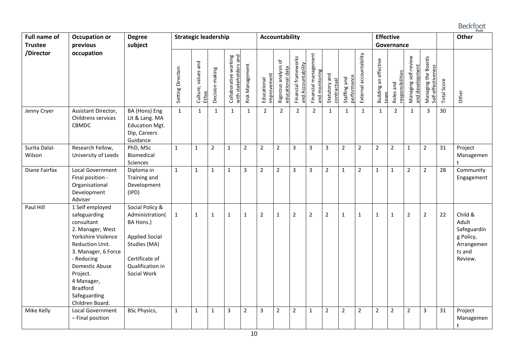### **Beckfoot**

| <b>Full name of</b><br><b>Trustee</b> | <b>Strategic leadership</b>                                                                                                                                                                                                                       |                                                                                                                                               |                   |                              |                 | <b>Accountability</b>                                          |                 |                            |                                          |                                            |                                        |                | <b>Effective</b><br>Governance     |                         |                                   |                               |                                         | Other                                     |             |                                                                                 |
|---------------------------------------|---------------------------------------------------------------------------------------------------------------------------------------------------------------------------------------------------------------------------------------------------|-----------------------------------------------------------------------------------------------------------------------------------------------|-------------------|------------------------------|-----------------|----------------------------------------------------------------|-----------------|----------------------------|------------------------------------------|--------------------------------------------|----------------------------------------|----------------|------------------------------------|-------------------------|-----------------------------------|-------------------------------|-----------------------------------------|-------------------------------------------|-------------|---------------------------------------------------------------------------------|
| /Director                             | occupation                                                                                                                                                                                                                                        |                                                                                                                                               | Setting Direction | Culture, values and<br>Ethos | Decision making | Collaborative working<br>with stakeholders and<br>stakeholders | Risk Management | Improvement<br>Educational | Rigorous analysis of<br>educational data | Financial frameworks<br>and Accountability | Financial management<br>and monitoring | Statutory and  | <u>performance</u><br>Staffing and | External accountability | effective<br>Building an e<br>tea | responsibilities<br>Roles and | Managing self-review<br>and development | Managing the Boards<br>Self-effectiveness | Total Score | Other                                                                           |
| Jenny Cryer                           | Assistant Director,<br>Childrens services<br>CBMDC                                                                                                                                                                                                | BA (Hons) Eng<br>Lit & Lang. MA<br><b>Education Mgt.</b><br>Dip, Careers<br>Guidance                                                          | $\mathbf{1}$      | $\mathbf{1}$                 | 1               | $\mathbf{1}$                                                   | $\mathbf{1}$    | 2                          | $\overline{2}$                           | $\overline{2}$                             | $\overline{2}$                         | $\mathbf{1}$   | $\mathbf{1}$                       | $\mathbf{1}$            | $\mathbf{1}$                      | $\overline{2}$                | $\mathbf{1}$                            | 3                                         | 30          |                                                                                 |
| Surita Dalal-<br>Wilson               | Research Fellow,<br>University of Leeds                                                                                                                                                                                                           | PhD, MSc<br>Biomedical<br>Sciences                                                                                                            | $\mathbf{1}$      | $\mathbf 1$                  | $\overline{2}$  | $\mathbf{1}$                                                   | $\overline{2}$  | $\overline{2}$             | $\overline{2}$                           | $\overline{3}$                             | 3                                      | 3              | $\overline{2}$                     | $\overline{2}$          | $\overline{2}$                    | $\overline{2}$                | $\mathbf{1}$                            | $\overline{2}$                            | 31          | Project<br>Managemen                                                            |
| Diane Fairfax                         | Local Government<br>Final position -<br>Organisational<br>Development<br>Adviser                                                                                                                                                                  | Diploma in<br>Training and<br>Development<br>(IPD)                                                                                            | $\mathbf{1}$      | $\mathbf 1$                  | $\mathbf{1}$    | $\mathbf{1}$                                                   | 3               | $\overline{2}$             | $\overline{2}$                           | $\overline{3}$                             | 3                                      | $\overline{2}$ | $\mathbf{1}$                       | $\overline{2}$          | $\mathbf{1}$                      | $\mathbf{1}$                  | $\overline{2}$                          | $\overline{2}$                            | 28          | Community<br>Engagement                                                         |
| Paul Hill                             | 1 Self employed<br>safeguarding<br>consultant<br>2. Manager, West<br>Yorkshire Violence<br>Reduction Unit.<br>3. Manager, 6 Force<br>- Reducing<br>Domestic Abuse<br>Project.<br>4 Manager,<br><b>Bradford</b><br>Safeguarding<br>Children Board. | Social Policy &<br>Administration(<br>BA Hons.)<br><b>Applied Social</b><br>Studies (MA)<br>Certificate of<br>Qualification in<br>Social Work | $\mathbf{1}$      | $\mathbf{1}$                 | $\mathbf 1$     | 1                                                              | 1               | $\overline{2}$             | 1                                        | $\overline{2}$                             | $\overline{2}$                         | $\overline{2}$ | $\mathbf{1}$                       | 1                       | $\mathbf{1}$                      | $\mathbf{1}$                  | $\overline{2}$                          | $\overline{2}$                            | 22          | Child &<br>Adult<br>Safeguardin<br>g Policy,<br>Arrangemen<br>ts and<br>Review. |
| Mike Kelly                            | Local Government<br>- Final position                                                                                                                                                                                                              | <b>BSc Physics,</b>                                                                                                                           | $\mathbf{1}$      | $\mathbf{1}$                 | $\mathbf{1}$    | 3                                                              | $\overline{2}$  | 3                          | $\overline{2}$                           | $\overline{2}$                             | $\mathbf{1}$                           | $\overline{2}$ | $\overline{2}$                     | $\overline{2}$          | $\mathbf 2$                       | $\overline{2}$                | $\mathbf 2$                             | 3                                         | 31          | Project<br>Managemen<br>t                                                       |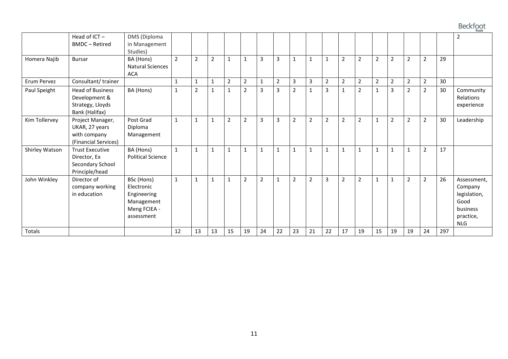### **Beckfoot**

|                |                                                                                |                                                                                     |              |                |              |                |                |                |                |                |                |                |                |                |                |                |                |                |     | <b>II</b> USL                                                                         |
|----------------|--------------------------------------------------------------------------------|-------------------------------------------------------------------------------------|--------------|----------------|--------------|----------------|----------------|----------------|----------------|----------------|----------------|----------------|----------------|----------------|----------------|----------------|----------------|----------------|-----|---------------------------------------------------------------------------------------|
|                | Head of ICT-<br><b>BMDC</b> - Retired                                          | DMS (Diploma<br>in Management<br>Studies)                                           |              |                |              |                |                |                |                |                |                |                |                |                |                |                |                |                |     | $\overline{2}$                                                                        |
| Homera Najib   | <b>Bursar</b>                                                                  | BA (Hons)<br><b>Natural Sciences</b><br><b>ACA</b>                                  | 2            | $\overline{2}$ | 2            | $\mathbf{1}$   |                | 3              | 3              | 1              | 1              | $\mathbf{1}$   | $\overline{2}$ | 2              | $\overline{2}$ | $\overline{2}$ | $\overline{2}$ | 2              | 29  |                                                                                       |
| Erum Pervez    | Consultant/trainer                                                             |                                                                                     | 1            | $\mathbf{1}$   | $\mathbf{1}$ | $\overline{2}$ | $\overline{2}$ | 1              | $\overline{2}$ | 3              | 3              | $\overline{2}$ | 2              | 2              | $\overline{2}$ | 2              | $\overline{2}$ | $\overline{2}$ | 30  |                                                                                       |
| Paul Speight   | <b>Head of Business</b><br>Development &<br>Strategy, Lloyds<br>Bank (Halifax) | BA (Hons)                                                                           | $\mathbf 1$  | $\overline{2}$ | $\mathbf{1}$ | $\mathbf{1}$   | $\overline{2}$ | 3              | 3              | $\overline{2}$ | $\mathbf{1}$   | $\overline{3}$ | $\mathbf{1}$   | $\overline{2}$ | 1              | 3              | 2              | $\overline{2}$ | 30  | Community<br>Relations<br>experience                                                  |
| Kim Tollervey  | Project Manager,<br>UKAR, 27 years<br>with company<br>(Financial Services)     | Post Grad<br>Diploma<br>Management                                                  | $\mathbf{1}$ | $\mathbf{1}$   | $\mathbf{1}$ | $\overline{2}$ | $\overline{2}$ | 3              | 3              | $\overline{2}$ | $\overline{2}$ | $\overline{2}$ | $\overline{2}$ | $\overline{2}$ | 1              | $\overline{2}$ | $\overline{2}$ | $\overline{2}$ | 30  | Leadership                                                                            |
| Shirley Watson | <b>Trust Executive</b><br>Director, Ex<br>Secondary School<br>Principle/head   | BA (Hons)<br><b>Political Science</b>                                               | $\mathbf{1}$ | $\mathbf{1}$   | $\mathbf{1}$ | $\mathbf{1}$   | $\mathbf{1}$   | 1              | $\mathbf{1}$   | $\mathbf{1}$   | $\mathbf{1}$   | $\mathbf{1}$   | $\mathbf{1}$   | $\mathbf{1}$   | $\mathbf{1}$   | $\mathbf{1}$   | $\mathbf{1}$   | $\overline{2}$ | 17  |                                                                                       |
| John Winkley   | Director of<br>company working<br>in education                                 | BSc (Hons)<br>Electronic<br>Engineering<br>Management<br>Meng FCIEA -<br>assessment | $\mathbf{1}$ | $\mathbf{1}$   | $\mathbf{1}$ | 1              | 2              | $\overline{2}$ | 1              | 2              | 2              | $\overline{3}$ | 2              | 2              | 1              | $\mathbf{1}$   | 2              | $\overline{2}$ | 26  | Assessment,<br>Company<br>legislation,<br>Good<br>business<br>practice,<br><b>NLG</b> |
| <b>Totals</b>  |                                                                                |                                                                                     | 12           | 13             | 13           | 15             | 19             | 24             | 22             | 23             | 21             | 22             | 17             | 19             | 15             | 19             | 19             | 24             | 297 |                                                                                       |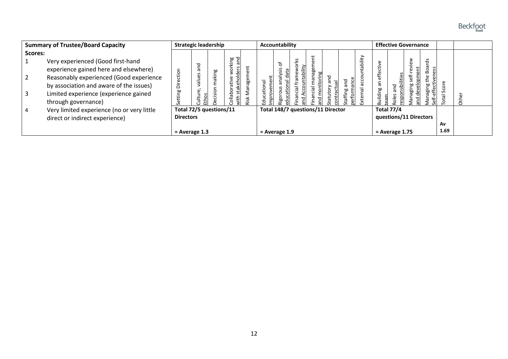

| <b>Summary of Trustee/Board Capacity</b> |                                            | <b>Strategic leadership</b> |                   |        |                |      | Accountability                    |                 |           |     |   |         |         |                 |                    | <b>Effective Governance</b> |                  |                       |      |
|------------------------------------------|--------------------------------------------|-----------------------------|-------------------|--------|----------------|------|-----------------------------------|-----------------|-----------|-----|---|---------|---------|-----------------|--------------------|-----------------------------|------------------|-----------------------|------|
| Scores:                                  |                                            |                             |                   |        |                |      |                                   |                 |           |     |   |         |         |                 |                    |                             |                  |                       |      |
|                                          | Very experienced (Good first-hand          |                             | ᅙ                 |        | tking<br>sand  |      |                                   | ፟፟፟፟፟፟፟፟        | S<br>⊻    |     |   |         | ability |                 |                    | <u>ه.</u>                   | ಕೆ               |                       |      |
|                                          | experience gained here and elsewhere)      |                             | σ                 |        | ğ<br>공         |      |                                   | Sis             | ability   |     |   |         |         | ਦਿ              |                    |                             | $\circ$<br>œ     |                       |      |
|                                          | Reasonably experienced (Good experience    | ction<br>C.                 | seile             | making | ᅙ              | age  |                                   |                 | Шe        |     | ರ |         |         | effe            |                    |                             | 문                |                       |      |
|                                          | by association and aware of the issues)    | ة                           |                   |        | ative<br>둡     |      |                                   | σ               | cial<br>ဥ |     | ω | 겯<br>ത  |         | Έ               | nsibilities<br>and | ஜ<br>$\overline{a}$         | aging<br>effecti | ω<br>$\circ$          |      |
|                                          | Limited experience (experience gained      | ting                        | $\mathbf{Q}$<br>Ĕ | cision | $\circ$<br>lab | Nana | <b>Educational</b>                |                 | ര         | cia |   | taffing |         | <b>Building</b> | ods                | .<br>ವಾ                     | ᡕᢐ               | မ္တ<br>$\overline{E}$ |      |
|                                          | through governance)                        |                             | Ethos<br>≒        |        |                | ≹isk |                                   |                 | 걷         |     |   |         |         |                 |                    |                             | Ŝ                |                       | thei |
| 4                                        | Very limited experience (no or very little | Total 72/5 questions/11     |                   |        |                |      | Total 148/7 questions/11 Director |                 |           |     |   |         |         |                 | <b>Total 77/4</b>  |                             |                  |                       |      |
|                                          | direct or indirect experience)             |                             | <b>Directors</b>  |        |                |      |                                   |                 |           |     |   |         |         |                 |                    | questions/11 Directors      |                  |                       |      |
|                                          |                                            |                             |                   |        |                |      |                                   |                 |           |     |   |         |         |                 |                    |                             |                  | Av<br>1.69            |      |
|                                          |                                            |                             | $=$ Average 1.3   |        |                |      |                                   | $=$ Average 1.9 |           |     |   |         |         |                 | $=$ Average 1.75   |                             |                  |                       |      |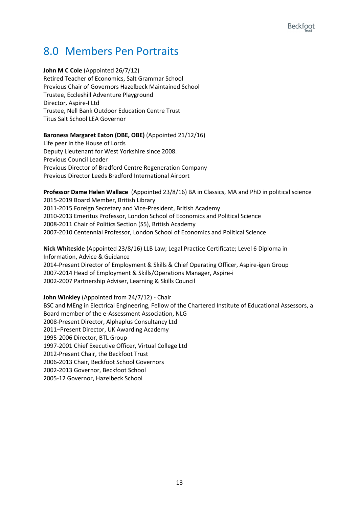### <span id="page-13-0"></span>8.0 Members Pen Portraits

#### **John M C Cole** (Appointed 26/7/12)

Retired Teacher of Economics, Salt Grammar School Previous Chair of Governors Hazelbeck Maintained School Trustee, Eccleshill Adventure Playground Director, Aspire-I Ltd Trustee, Nell Bank Outdoor Education Centre Trust Titus Salt School LEA Governor

#### **Baroness Margaret Eaton (DBE, OBE)** (Appointed 21/12/16)

Life peer in the House of Lords Deputy Lieutenant for West Yorkshire since 2008. Previous Council Leader Previous Director of Bradford Centre Regeneration Company Previous Director Leeds Bradford International Airport

**Professor Dame Helen Wallace** (Appointed 23/8/16) BA in Classics, MA and PhD in political science 2015-2019 Board Member, British Library 2011-2015 Foreign Secretary and Vice-President, British Academy 2010-2013 Emeritus Professor, London School of Economics and Political Science 2008-2011 Chair of Politics Section (S5), British Academy 2007-2010 Centennial Professor, London School of Economics and Political Science

**Nick Whiteside** (Appointed 23/8/16) LLB Law; Legal Practice Certificate; Level 6 Diploma in Information, Advice & Guidance 2014-Present Director of Employment & Skills & Chief Operating Officer, Aspire-igen Group 2007-2014 Head of Employment & Skills/Operations Manager, Aspire-i 2002-2007 Partnership Adviser, Learning & Skills Council

**John Winkley** (Appointed from 24/7/12) - Chair BSC and MEng in Electrical Engineering, Fellow of the Chartered Institute of Educational Assessors, a Board member of the e-Assessment Association, NLG 2008-Present Director, Alphaplus Consultancy Ltd 2011–Present Director, UK Awarding Academy 1995-2006 Director, BTL Group 1997-2001 Chief Executive Officer, Virtual College Ltd 2012-Present Chair, the Beckfoot Trust 2006-2013 Chair, Beckfoot School Governors 2002-2013 Governor, Beckfoot School 2005-12 Governor, Hazelbeck School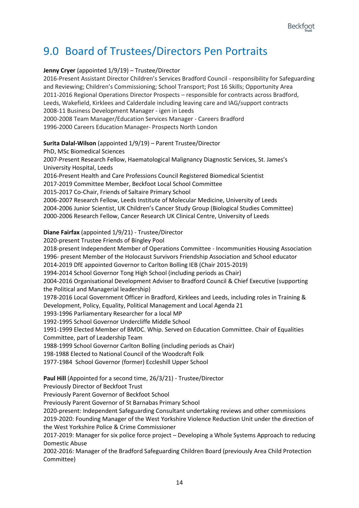### <span id="page-14-0"></span>9.0 Board of Trustees/Directors Pen Portraits

#### **Jenny Cryer** (appointed 1/9/19) – Trustee/Director

2016-Present Assistant Director Children's Services Bradford Council - responsibility for Safeguarding and Reviewing; Children's Commissioning; School Transport; Post 16 Skills; Opportunity Area 2011-2016 Regional Operations Director Prospects – responsible for contracts across Bradford, Leeds, Wakefield, Kirklees and Calderdale including leaving care and IAG/support contracts 2008-11 Business Development Manager - igen in Leeds 2000-2008 Team Manager/Education Services Manager - Careers Bradford 1996-2000 Careers Education Manager- Prospects North London

#### **Surita Dalal-Wilson** (appointed 1/9/19) – Parent Trustee/Director

PhD, MSc Biomedical Sciences

2007-Present Research Fellow, Haematological Malignancy Diagnostic Services, St. James's University Hospital, Leeds

2016-Present Health and Care Professions Council Registered Biomedical Scientist

2017-2019 Committee Member, Beckfoot Local School Committee

2015-2017 Co-Chair, Friends of Saltaire Primary School

2006-2007 Research Fellow, Leeds Institute of Molecular Medicine, University of Leeds 2004-2006 Junior Scientist, UK Children's Cancer Study Group (Biological Studies Committee) 2000-2006 Research Fellow, Cancer Research UK Clinical Centre, University of Leeds

#### **Diane Fairfax** (appointed 1/9/21) - Trustee/Director

2020-present Trustee Friends of Bingley Pool

2018-present Independent Member of Operations Committee - Incommunities Housing Association 1996- present Member of the Holocaust Survivors Friendship Association and School educator

2014-2019 DfE appointed Governor to Carlton Bolling IEB (Chair 2015-2019)

1994-2014 School Governor Tong High School (including periods as Chair)

2004-2016 Organisational Development Adviser to Bradford Council & Chief Executive (supporting the Political and Managerial leadership)

1978-2016 Local Government Officer in Bradford, Kirklees and Leeds, including roles in Training & Development, Policy, Equality, Political Management and Local Agenda 21

1993-1996 Parliamentary Researcher for a local MP

1992-1995 School Governor Undercliffe Middle School

1991-1999 Elected Member of BMDC. Whip. Served on Education Committee. Chair of Equalities Committee, part of Leadership Team

1988-1999 School Governor Carlton Bolling (including periods as Chair)

198-1988 Elected to National Council of the Woodcraft Folk

1977-1984 School Governor (former) Eccleshill Upper School

**Paul Hill** (Appointed for a second time, 26/3/21) - Trustee/Director

Previously Director of Beckfoot Trust

Previously Parent Governor of Beckfoot School

Previously Parent Governor of St Barnabas Primary School

2020-present: Independent Safeguarding Consultant undertaking reviews and other commissions 2019-2020: Founding Manager of the West Yorkshire Violence Reduction Unit under the direction of the West Yorkshire Police & Crime Commissioner

2017-2019: Manager for six police force project – Developing a Whole Systems Approach to reducing Domestic Abuse

2002-2016: Manager of the Bradford Safeguarding Children Board (previously Area Child Protection Committee)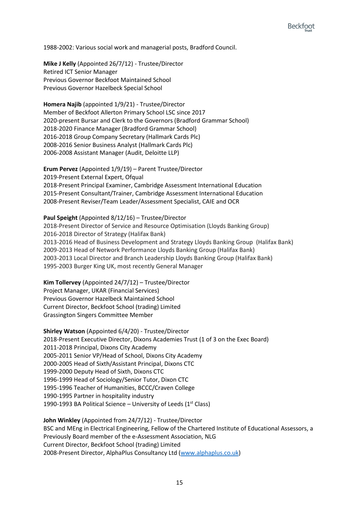1988-2002: Various social work and managerial posts, Bradford Council.

**Mike J Kelly** (Appointed 26/7/12) - Trustee/Director Retired ICT Senior Manager Previous Governor Beckfoot Maintained School Previous Governor Hazelbeck Special School

**Homera Najib** (appointed 1/9/21) - Trustee/Director Member of Beckfoot Allerton Primary School LSC since 2017 2020-present Bursar and Clerk to the Governors (Bradford Grammar School) 2018-2020 Finance Manager (Bradford Grammar School) 2016-2018 Group Company Secretary (Hallmark Cards Plc) 2008-2016 Senior Business Analyst (Hallmark Cards Plc) 2006-2008 Assistant Manager (Audit, Deloitte LLP)

**Erum Pervez** (Appointed 1/9/19) – Parent Trustee/Director 2019-Present External Expert, Ofqual 2018-Present Principal Examiner, Cambridge Assessment International Education 2015-Present Consultant/Trainer, Cambridge Assessment International Education 2008-Present Reviser/Team Leader/Assessment Specialist, CAIE and OCR

**Paul Speight** (Appointed 8/12/16) – Trustee/Director 2018-Present Director of Service and Resource Optimisation (Lloyds Banking Group) 2016-2018 Director of Strategy (Halifax Bank) 2013-2016 Head of Business Development and Strategy Lloyds Banking Group (Halifax Bank) 2009-2013 Head of Network Performance Lloyds Banking Group (Halifax Bank) 2003-2013 Local Director and Branch Leadership Lloyds Banking Group (Halifax Bank) 1995-2003 Burger King UK, most recently General Manager

**Kim Tollervey** (Appointed 24/7/12) – Trustee/Director Project Manager, UKAR (Financial Services) Previous Governor Hazelbeck Maintained School Current Director, Beckfoot School (trading) Limited Grassington Singers Committee Member

**Shirley Watson** (Appointed 6/4/20) - Trustee/Director 2018-Present Executive Director, Dixons Academies Trust (1 of 3 on the Exec Board) 2011-2018 Principal, Dixons City Academy 2005-2011 Senior VP/Head of School, Dixons City Academy 2000-2005 Head of Sixth/Assistant Principal, Dixons CTC 1999-2000 Deputy Head of Sixth, Dixons CTC 1996-1999 Head of Sociology/Senior Tutor, Dixon CTC 1995-1996 Teacher of Humanities, BCCC/Craven College 1990-1995 Partner in hospitality industry 1990-1993 BA Political Science – University of Leeds ( $1<sup>st</sup> Class$ )

**John Winkley** (Appointed from 24/7/12) - Trustee/Director BSC and MEng in Electrical Engineering, Fellow of the Chartered Institute of Educational Assessors, a Previously Board member of the e-Assessment Association, NLG Current Director, Beckfoot School (trading) Limited 2008-Present Director, AlphaPlus Consultancy Ltd [\(www.alphaplus.co.uk\)](http://www.alphaplus.co.uk/)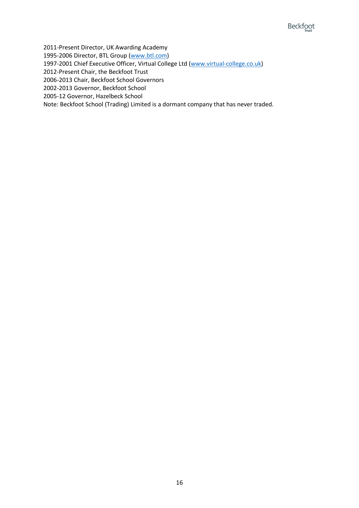2011-Present Director, UK Awarding Academy

1995-2006 Director, BTL Group [\(www.btl.com\)](http://www.btl.com/)

1997-2001 Chief Executive Officer, Virtual College Ltd [\(www.virtual-college.co.uk\)](http://www.virtual-college.co.uk/)

2012-Present Chair, the Beckfoot Trust

2006-2013 Chair, Beckfoot School Governors

2002-2013 Governor, Beckfoot School

2005-12 Governor, Hazelbeck School

Note: Beckfoot School (Trading) Limited is a dormant company that has never traded.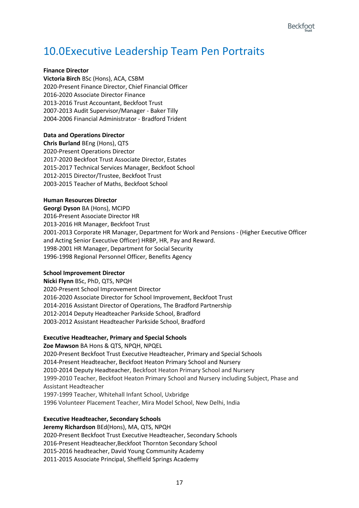### <span id="page-17-0"></span>10.0Executive Leadership Team Pen Portraits

#### **Finance Director**

**Victoria Birch** BSc (Hons), ACA, CSBM 2020-Present Finance Director, Chief Financial Officer 2016-2020 Associate Director Finance 2013-2016 Trust Accountant, Beckfoot Trust 2007-2013 Audit Supervisor/Manager - Baker Tilly 2004-2006 Financial Administrator - Bradford Trident

#### **Data and Operations Director**

**Chris Burland** BEng (Hons), QTS 2020-Present Operations Director 2017-2020 Beckfoot Trust Associate Director, Estates 2015-2017 Technical Services Manager, Beckfoot School 2012-2015 Director/Trustee, Beckfoot Trust 2003-2015 Teacher of Maths, Beckfoot School

#### **Human Resources Director**

**Georgi Dyson** BA (Hons), MCIPD 2016-Present Associate Director HR 2013-2016 HR Manager, Beckfoot Trust 2001-2013 Corporate HR Manager, Department for Work and Pensions - (Higher Executive Officer and Acting Senior Executive Officer) HRBP, HR, Pay and Reward. 1998-2001 HR Manager, Department for Social Security 1996-1998 Regional Personnel Officer, Benefits Agency

#### **School Improvement Director**

**Nicki Flynn** BSc, PhD, QTS, NPQH 2020-Present School Improvement Director 2016-2020 Associate Director for School Improvement, Beckfoot Trust 2014-2016 Assistant Director of Operations, The Bradford Partnership 2012-2014 Deputy Headteacher Parkside School, Bradford 2003-2012 Assistant Headteacher Parkside School, Bradford

#### **Executive Headteacher, Primary and Special Schools**

**Zoe Mawson** BA Hons & QTS, NPQH, NPQEL 2020-Present Beckfoot Trust Executive Headteacher, Primary and Special Schools 2014-Present Headteacher, Beckfoot Heaton Primary School and Nursery 2010-2014 Deputy Headteacher, Beckfoot Heaton Primary School and Nursery 1999-2010 Teacher, Beckfoot Heaton Primary School and Nursery including Subject, Phase and Assistant Headteacher 1997-1999 Teacher, Whitehall Infant School, Uxbridge 1996 Volunteer Placement Teacher, Mira Model School, New Delhi, India

#### **Executive Headteacher, Secondary Schools**

**Jeremy Richardson** BEd(Hons), MA, QTS, NPQH 2020-Present Beckfoot Trust Executive Headteacher, Secondary Schools 2016-Present Headteacher,Beckfoot Thornton Secondary School 2015-2016 headteacher, David Young Community Academy 2011-2015 Associate Principal, Sheffield Springs Academy